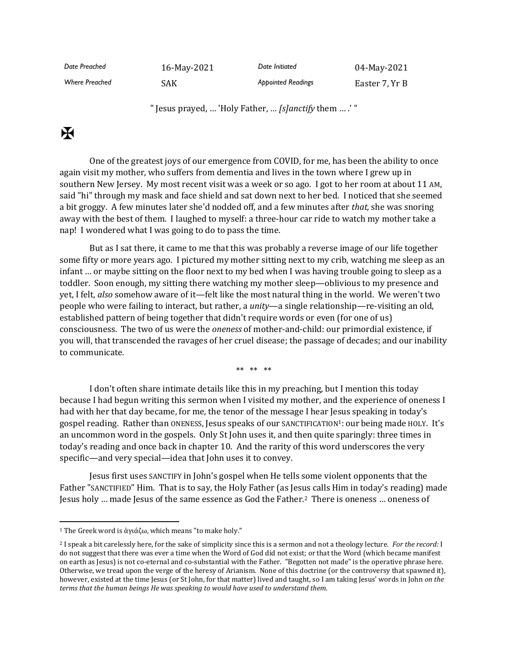| Date Preached         | 16-May-2021 | Date Initiated            | 04-May-2021    |
|-----------------------|-------------|---------------------------|----------------|
| <b>Where Preached</b> | SAK         | <b>Appointed Readings</b> | Easter 7, Yr B |

" Jesus prayed, … 'Holy Father, … *[s]anctify* them … .' "

## $\mathbf K$

One of the greatest joys of our emergence from COVID, for me, has been the ability to once again visit my mother, who suffers from dementia and lives in the town where I grew up in southern New Jersey. My most recent visit was a week or so ago. I got to her room at about 11 AM, said "hi" through my mask and face shield and sat down next to her bed. I noticed that she seemed a bit groggy. A few minutes later she'd nodded off, and a few minutes after *that,* she was snoring away with the best of them. I laughed to myself: a three-hour car ride to watch my mother take a nap! I wondered what I was going to do to pass the time.

But as I sat there, it came to me that this was probably a reverse image of our life together some fifty or more years ago. I pictured my mother sitting next to my crib, watching me sleep as an infant … or maybe sitting on the floor next to my bed when I was having trouble going to sleep as a toddler. Soon enough, my sitting there watching my mother sleep—oblivious to my presence and yet, I felt, *also* somehow aware of it—felt like the most natural thing in the world. We weren't two people who were failing to interact, but rather, a *unity*—a single relationship—re-visiting an old, established pattern of being together that didn't require words or even (for one of us) consciousness. The two of us were the *oneness* of mother-and-child: our primordial existence, if you will, that transcended the ravages of her cruel disease; the passage of decades; and our inability to communicate.

\*\* \*\* \*\*

I don't often share intimate details like this in my preaching, but I mention this today because I had begun writing this sermon when I visited my mother, and the experience of oneness I had with her that day became, for me, the tenor of the message I hear Jesus speaking in today's gospel reading. Rather than ONENESS, Jesus speaks of our SANCTIFICATION<sup>1</sup>: our being made HOLY. It's an uncommon word in the gospels. Only St John uses it, and then quite sparingly: three times in today's reading and once back in chapter 10. And the rarity of this word underscores the very specific—and very special—idea that John uses it to convey.

Jesus first uses SANCTIFY in John's gospel when He tells some violent opponents that the Father "SANCTIFIED" Him. That is to say, the Holy Father (as Jesus calls Him in today's reading) made Jesus holy … made Jesus of the same essence as God the Father.<sup>2</sup> There is oneness … oneness of

<sup>1</sup> The Greek word is ἁγιάζω, which means "to make holy."

<sup>2</sup> I speak a bit carelessly here, for the sake of simplicity since this is a sermon and not a theology lecture. *For the record:* I do not suggest that there was ever a time when the Word of God did not exist; or that the Word (which became manifest on earth as Jesus) is not co-eternal and co-substantial with the Father. "Begotten not made" is the operative phrase here. Otherwise, we tread upon the verge of the heresy of Arianism. None of this doctrine (or the controversy that spawned it), however, existed at the time Jesus (or St John, for that matter) lived and taught, so I am taking Jesus' words in John *on the terms that the human beings He was speaking to would have used to understand them*.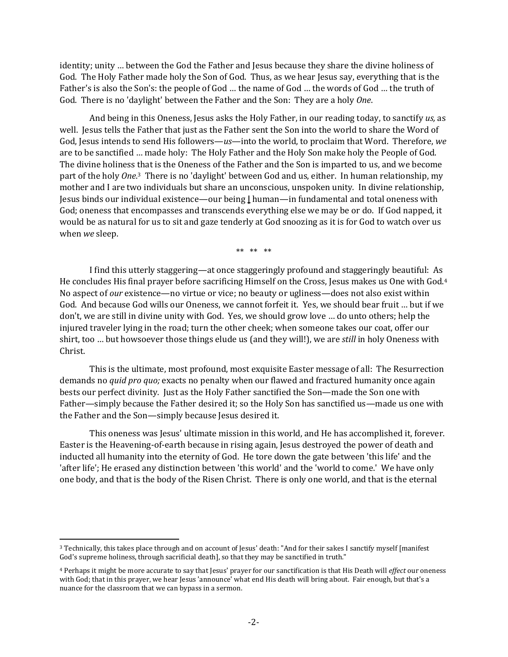identity; unity … between the God the Father and Jesus because they share the divine holiness of God. The Holy Father made holy the Son of God. Thus, as we hear Jesus say, everything that is the Father's is also the Son's: the people of God … the name of God … the words of God … the truth of God. There is no 'daylight' between the Father and the Son: They are a holy *One*.

And being in this Oneness, Jesus asks the Holy Father, in our reading today, to sanctify *us,* as well. Jesus tells the Father that just as the Father sent the Son into the world to share the Word of God, Jesus intends to send His followers—*us*—into the world, to proclaim that Word. Therefore, *we* are to be sanctified … made holy: The Holy Father and the Holy Son make holy the People of God. The divine holiness that is the Oneness of the Father and the Son is imparted to us, and we become part of the holy *One*. <sup>3</sup> There is no 'daylight' between God and us, either. In human relationship, my mother and I are two individuals but share an unconscious, unspoken unity. In divine relationship, Jesus binds our individual existence—our being **|** human—in fundamental and total oneness with God; oneness that encompasses and transcends everything else we may be or do. If God napped, it would be as natural for us to sit and gaze tenderly at God snoozing as it is for God to watch over us when *we* sleep.

\*\* \*\* \*\*

I find this utterly staggering—at once staggeringly profound and staggeringly beautiful: As He concludes His final prayer before sacrificing Himself on the Cross, Jesus makes us One with God.<sup>4</sup> No aspect of *our* existence—no virtue or vice; no beauty or ugliness—does not also exist within God. And because God wills our Oneness, we cannot forfeit it. Yes, we should bear fruit … but if we don't, we are still in divine unity with God. Yes, we should grow love … do unto others; help the injured traveler lying in the road; turn the other cheek; when someone takes our coat, offer our shirt, too … but howsoever those things elude us (and they will!), we are *still* in holy Oneness with Christ.

This is the ultimate, most profound, most exquisite Easter message of all: The Resurrection demands no *quid pro quo;* exacts no penalty when our flawed and fractured humanity once again bests our perfect divinity. Just as the Holy Father sanctified the Son—made the Son one with Father—simply because the Father desired it; so the Holy Son has sanctified us—made us one with the Father and the Son—simply because Jesus desired it.

This oneness was Jesus' ultimate mission in this world, and He has accomplished it, forever. Easter is the Heavening-of-earth because in rising again, Jesus destroyed the power of death and inducted all humanity into the eternity of God. He tore down the gate between 'this life' and the 'after life'; He erased any distinction between 'this world' and the 'world to come.' We have only one body, and that is the body of the Risen Christ. There is only one world, and that is the eternal

<sup>&</sup>lt;sup>3</sup> Technically, this takes place through and on account of Jesus' death: "And for their sakes I sanctify myself [manifest] God's supreme holiness, through sacrificial death], so that they may be sanctified in truth."

<sup>4</sup> Perhaps it might be more accurate to say that Jesus' prayer for our sanctification is that His Death will *effect* our oneness with God; that in this prayer, we hear Jesus 'announce' what end His death will bring about. Fair enough, but that's a nuance for the classroom that we can bypass in a sermon.